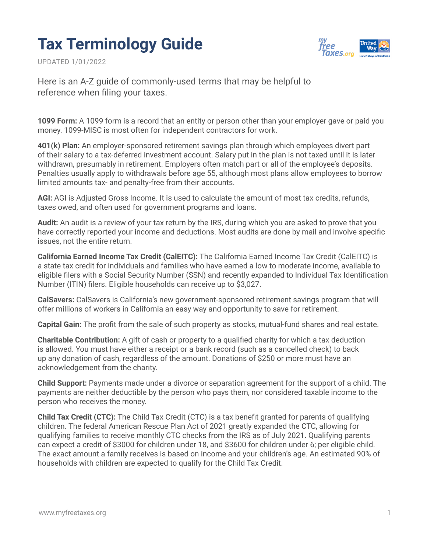## **Tax Terminology Guide**

UPDATED 1/01/2022



Here is an A-Z guide of commonly-used terms that may be helpful to reference when filing your taxes.

**1099 Form:** A 1099 form is a record that an entity or person other than your employer gave or paid you money. 1099-MISC is most often for independent contractors for work.

**401(k) Plan:** An employer-sponsored retirement savings plan through which employees divert part of their salary to a tax-deferred investment account. Salary put in the plan is not taxed until it is later withdrawn, presumably in retirement. Employers often match part or all of the employee's deposits. Penalties usually apply to withdrawals before age 55, although most plans allow employees to borrow limited amounts tax- and penalty-free from their accounts.

**AGI:** AGI is Adjusted Gross Income. It is used to calculate the amount of most tax credits, refunds, taxes owed, and often used for government programs and loans.

**Audit:** An audit is a review of your tax return by the IRS, during which you are asked to prove that you have correctly reported your income and deductions. Most audits are done by mail and involve specific issues, not the entire return.

**California Earned Income Tax Credit (CalEITC):** The California Earned Income Tax Credit (CalEITC) is a state tax credit for individuals and families who have earned a low to moderate income, available to eligible filers with a Social Security Number (SSN) and recently expanded to Individual Tax Identification Number (ITIN) filers. Eligible households can receive up to \$3,027.

**CalSavers:** CalSavers is California's new government-sponsored retirement savings program that will offer millions of workers in California an easy way and opportunity to save for retirement.

**Capital Gain:** The profit from the sale of such property as stocks, mutual-fund shares and real estate.

**Charitable Contribution:** A gift of cash or property to a qualified charity for which a tax deduction is allowed. You must have either a receipt or a bank record (such as a cancelled check) to back up any donation of cash, regardless of the amount. Donations of \$250 or more must have an acknowledgement from the charity.

**Child Support:** Payments made under a divorce or separation agreement for the support of a child. The payments are neither deductible by the person who pays them, nor considered taxable income to the person who receives the money.

**Child Tax Credit (CTC):** The Child Tax Credit (CTC) is a tax benefit granted for parents of qualifying children. The federal American Rescue Plan Act of 2021 greatly expanded the CTC, allowing for qualifying families to receive monthly CTC checks from the IRS as of July 2021. Qualifying parents can expect a credit of \$3000 for children under 18, and \$3600 for children under 6; per eligible child. The exact amount a family receives is based on income and your children's age. An estimated 90% of households with children are expected to qualify for the Child Tax Credit.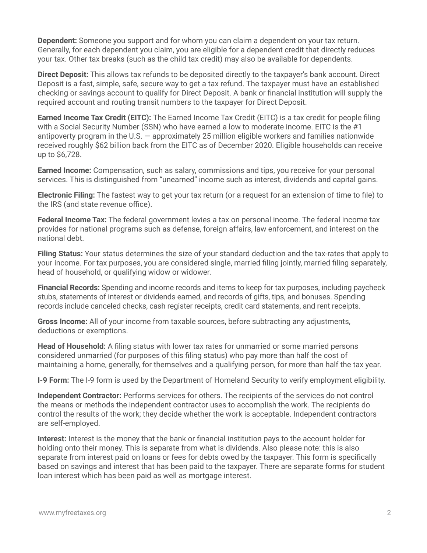**Dependent:** Someone you support and for whom you can claim a dependent on your tax return. Generally, for each dependent you claim, you are eligible for a dependent credit that directly reduces your tax. Other tax breaks (such as the child tax credit) may also be available for dependents.

**Direct Deposit:** This allows tax refunds to be deposited directly to the taxpayer's bank account. Direct Deposit is a fast, simple, safe, secure way to get a tax refund. The taxpayer must have an established checking or savings account to qualify for Direct Deposit. A bank or financial institution will supply the required account and routing transit numbers to the taxpayer for Direct Deposit.

**Earned Income Tax Credit (EITC):** The Earned Income Tax Credit (EITC) is a tax credit for people filing with a Social Security Number (SSN) who have earned a low to moderate income. EITC is the #1 antipoverty program in the U.S. — approximately 25 million eligible workers and families nationwide received roughly \$62 billion back from the EITC as of December 2020. Eligible households can receive up to \$6,728.

**Earned Income:** Compensation, such as salary, commissions and tips, you receive for your personal services. This is distinguished from "unearned" income such as interest, dividends and capital gains.

**Electronic Filing:** The fastest way to get your tax return (or a request for an extension of time to file) to the IRS (and state revenue office).

**Federal Income Tax:** The federal government levies a tax on personal income. The federal income tax provides for national programs such as defense, foreign affairs, law enforcement, and interest on the national debt.

**Filing Status:** Your status determines the size of your standard deduction and the tax-rates that apply to your income. For tax purposes, you are considered single, married filing jointly, married filing separately, head of household, or qualifying widow or widower.

**Financial Records:** Spending and income records and items to keep for tax purposes, including paycheck stubs, statements of interest or dividends earned, and records of gifts, tips, and bonuses. Spending records include canceled checks, cash register receipts, credit card statements, and rent receipts.

**Gross Income:** All of your income from taxable sources, before subtracting any adjustments, deductions or exemptions.

**Head of Household:** A filing status with lower tax rates for unmarried or some married persons considered unmarried (for purposes of this filing status) who pay more than half the cost of maintaining a home, generally, for themselves and a qualifying person, for more than half the tax year.

**I-9 Form:** The I-9 form is used by the Department of Homeland Security to verify employment eligibility.

**Independent Contractor:** Performs services for others. The recipients of the services do not control the means or methods the independent contractor uses to accomplish the work. The recipients do control the results of the work; they decide whether the work is acceptable. Independent contractors are self-employed.

**Interest:** Interest is the money that the bank or financial institution pays to the account holder for holding onto their money. This is separate from what is dividends. Also please note: this is also separate from interest paid on loans or fees for debts owed by the taxpayer. This form is specifically based on savings and interest that has been paid to the taxpayer. There are separate forms for student loan interest which has been paid as well as mortgage interest.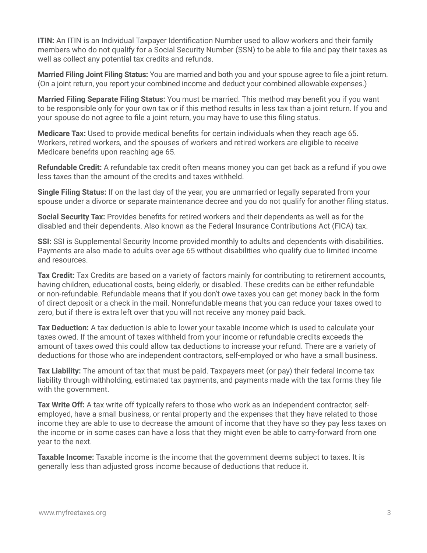**ITIN:** An ITIN is an Individual Taxpayer Identification Number used to allow workers and their family members who do not qualify for a Social Security Number (SSN) to be able to file and pay their taxes as well as collect any potential tax credits and refunds.

**Married Filing Joint Filing Status:** You are married and both you and your spouse agree to file a joint return. (On a joint return, you report your combined income and deduct your combined allowable expenses.)

**Married Filing Separate Filing Status:** You must be married. This method may benefit you if you want to be responsible only for your own tax or if this method results in less tax than a joint return. If you and your spouse do not agree to file a joint return, you may have to use this filing status.

**Medicare Tax:** Used to provide medical benefits for certain individuals when they reach age 65. Workers, retired workers, and the spouses of workers and retired workers are eligible to receive Medicare benefits upon reaching age 65.

**Refundable Credit:** A refundable tax credit often means money you can get back as a refund if you owe less taxes than the amount of the credits and taxes withheld.

**Single Filing Status:** If on the last day of the year, you are unmarried or legally separated from your spouse under a divorce or separate maintenance decree and you do not qualify for another filing status.

**Social Security Tax:** Provides benefits for retired workers and their dependents as well as for the disabled and their dependents. Also known as the Federal Insurance Contributions Act (FICA) tax.

**SSI:** SSI is Supplemental Security Income provided monthly to adults and dependents with disabilities. Payments are also made to adults over age 65 without disabilities who qualify due to limited income and resources.

**Tax Credit:** Tax Credits are based on a variety of factors mainly for contributing to retirement accounts, having children, educational costs, being elderly, or disabled. These credits can be either refundable or non-refundable. Refundable means that if you don't owe taxes you can get money back in the form of direct deposit or a check in the mail. Nonrefundable means that you can reduce your taxes owed to zero, but if there is extra left over that you will not receive any money paid back.

**Tax Deduction:** A tax deduction is able to lower your taxable income which is used to calculate your taxes owed. If the amount of taxes withheld from your income or refundable credits exceeds the amount of taxes owed this could allow tax deductions to increase your refund. There are a variety of deductions for those who are independent contractors, self-employed or who have a small business.

**Tax Liability:** The amount of tax that must be paid. Taxpayers meet (or pay) their federal income tax liability through withholding, estimated tax payments, and payments made with the tax forms they file with the government.

**Tax Write Off:** A tax write off typically refers to those who work as an independent contractor, selfemployed, have a small business, or rental property and the expenses that they have related to those income they are able to use to decrease the amount of income that they have so they pay less taxes on the income or in some cases can have a loss that they might even be able to carry-forward from one year to the next.

**Taxable Income:** Taxable income is the income that the government deems subject to taxes. It is generally less than adjusted gross income because of deductions that reduce it.